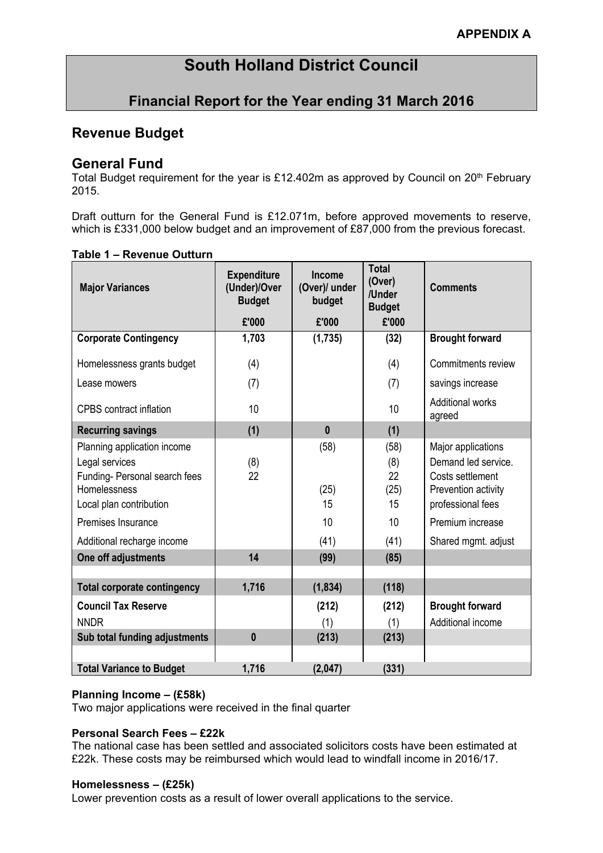# **South Holland District Council**

# **Financial Report for the Year ending 31 March 2016**

# **Revenue Budget**

## **General Fund**

Total Budget requirement for the year is £12.402m as approved by Council on 20<sup>th</sup> February 2015.

Draft outturn for the General Fund is £12.071m, before approved movements to reserve, which is £331,000 below budget and an improvement of £87,000 from the previous forecast.

| <b>Major Variances</b>                        | <b>Expenditure</b><br>(Under)/Over<br><b>Budget</b> | <b>Income</b><br>(Over)/ under<br>budget | <b>Total</b><br>(Over)<br>/Under<br><b>Budget</b> | <b>Comments</b>                         |
|-----------------------------------------------|-----------------------------------------------------|------------------------------------------|---------------------------------------------------|-----------------------------------------|
|                                               | £'000                                               | £'000                                    | £'000                                             |                                         |
| <b>Corporate Contingency</b>                  | 1,703                                               | (1,735)                                  | (32)                                              | <b>Brought forward</b>                  |
| Homelessness grants budget                    | (4)                                                 |                                          | (4)                                               | Commitments review                      |
| Lease mowers                                  | (7)                                                 |                                          | (7)                                               | savings increase                        |
| <b>CPBS</b> contract inflation                | 10                                                  |                                          | 10                                                | <b>Additional works</b><br>agreed       |
| <b>Recurring savings</b>                      | (1)                                                 | $\mathbf{0}$                             | (1)                                               |                                         |
| Planning application income                   |                                                     | (58)                                     | (58)                                              | Major applications                      |
| Legal services                                | (8)                                                 |                                          | (8)                                               | Demand led service.                     |
| Funding- Personal search fees<br>Homelessness | 22                                                  | (25)                                     | 22<br>(25)                                        | Costs settlement<br>Prevention activity |
| Local plan contribution                       |                                                     | 15                                       | 15                                                | professional fees                       |
| Premises Insurance                            |                                                     | 10                                       | 10                                                | Premium increase                        |
| Additional recharge income                    |                                                     | (41)                                     | (41)                                              | Shared mgmt. adjust                     |
| One off adjustments                           | 14                                                  | (99)                                     | (85)                                              |                                         |
|                                               |                                                     |                                          |                                                   |                                         |
| <b>Total corporate contingency</b>            | 1,716                                               | (1, 834)                                 | (118)                                             |                                         |
| <b>Council Tax Reserve</b>                    |                                                     | (212)                                    | (212)                                             | <b>Brought forward</b>                  |
| <b>NNDR</b>                                   | $\bf{0}$                                            | (1)                                      | (1)                                               | Additional income                       |
| Sub total funding adjustments                 |                                                     | (213)                                    | (213)                                             |                                         |
| <b>Total Variance to Budget</b>               | 1,716                                               | (2,047)                                  | (331)                                             |                                         |

## **Table 1 – Revenue Outturn**

#### **Planning Income – (£58k)**

Two major applications were received in the final quarter

#### **Personal Search Fees – £22k**

The national case has been settled and associated solicitors costs have been estimated at £22k. These costs may be reimbursed which would lead to windfall income in 2016/17.

#### **Homelessness – (£25k)**

Lower prevention costs as a result of lower overall applications to the service.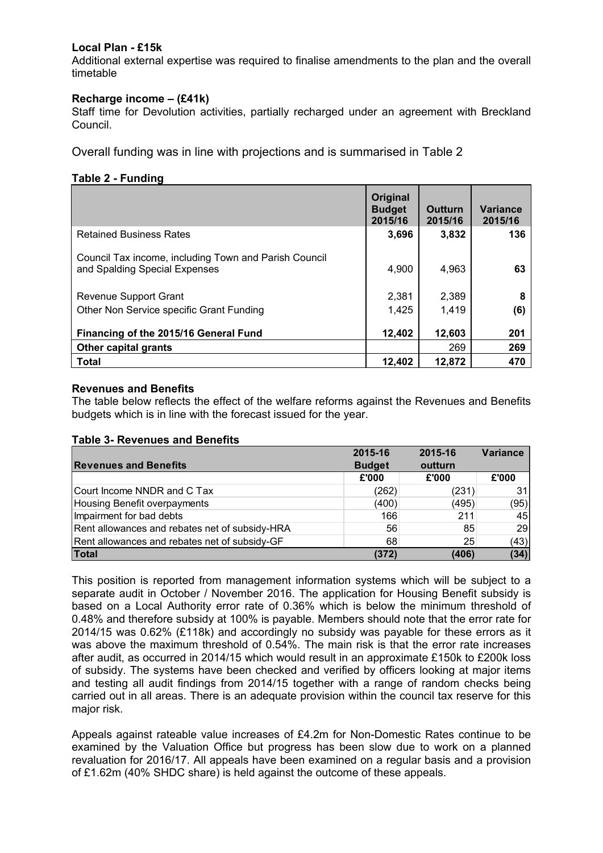### **Local Plan - £15k**

Additional external expertise was required to finalise amendments to the plan and the overall timetable

#### **Recharge income – (£41k)**

Staff time for Devolution activities, partially recharged under an agreement with Breckland Council.

Overall funding was in line with projections and is summarised in Table 2

#### **Table 2 - Funding**

|                                                                                        | Original<br><b>Budget</b><br>2015/16 | <b>Outturn</b><br>2015/16 | <b>Variance</b><br>2015/16 |
|----------------------------------------------------------------------------------------|--------------------------------------|---------------------------|----------------------------|
| <b>Retained Business Rates</b>                                                         | 3,696                                | 3,832                     | 136                        |
| Council Tax income, including Town and Parish Council<br>and Spalding Special Expenses | 4,900                                | 4,963                     | 63                         |
| <b>Revenue Support Grant</b>                                                           | 2.381                                | 2,389                     | 8                          |
| Other Non Service specific Grant Funding                                               | 1,425                                | 1,419                     | (6)                        |
| Financing of the 2015/16 General Fund                                                  | 12,402                               | 12,603<br>269             | 201<br>269                 |
| <b>Other capital grants</b><br>Total                                                   | 12.402                               | 12,872                    | 470                        |

#### **Revenues and Benefits**

The table below reflects the effect of the welfare reforms against the Revenues and Benefits budgets which is in line with the forecast issued for the year.

Impairment for bad debts and the set of the control of the control of the control of the control of the control of the control of the control of the control of the control of the control of the control of the control of th Rent allowances and rebates net of subsidy-HRA 56 56 85 29 Rent allowances and rebates net of subsidy-GF 68 25 (43) **Total (372) (406) (34)**

| Table 5- Revellues and Bellents |               |         |          |
|---------------------------------|---------------|---------|----------|
|                                 | 2015-16       | 2015-16 | Variance |
| <b>Revenues and Benefits</b>    | <b>Budget</b> | outturn |          |
|                                 | £'000         | £'000   | £'000    |
| Court Income NNDR and C Tax     | (262)         | (231)   | 31       |
| Housing Benefit overpayments    | (400)         | (495)   | (95)     |

#### **Table 3- Revenues and Benefits**

| This position is reported from management information systems which will be subject to a<br>separate audit in October / November 2016. The application for Housing Benefit subsidy is<br>based on a Local Authority error rate of 0.36% which is below the minimum threshold of<br>0.48% and therefore subsidy at 100% is payable. Members should note that the error rate for<br>2014/15 was 0.62% (£118k) and accordingly no subsidy was payable for these errors as it<br>was above the maximum threshold of 0.54%. The main risk is that the error rate increases<br>after audit, as occurred in 2014/15 which would result in an approximate £150k to £200k loss<br>of subsidy. The systems have been checked and verified by officers looking at major items<br>and testing all audit findings from 2014/15 together with a range of random checks being |
|----------------------------------------------------------------------------------------------------------------------------------------------------------------------------------------------------------------------------------------------------------------------------------------------------------------------------------------------------------------------------------------------------------------------------------------------------------------------------------------------------------------------------------------------------------------------------------------------------------------------------------------------------------------------------------------------------------------------------------------------------------------------------------------------------------------------------------------------------------------|
| carried out in all areas. There is an adequate provision within the council tax reserve for this                                                                                                                                                                                                                                                                                                                                                                                                                                                                                                                                                                                                                                                                                                                                                               |
| major risk.                                                                                                                                                                                                                                                                                                                                                                                                                                                                                                                                                                                                                                                                                                                                                                                                                                                    |

Appeals against rateable value increases of £4.2m for Non-Domestic Rates continue to be examined by the Valuation Office but progress has been slow due to work on a planned revaluation for 2016/17. All appeals have been examined on a regular basis and a provision of £1.62m (40% SHDC share) is held against the outcome of these appeals.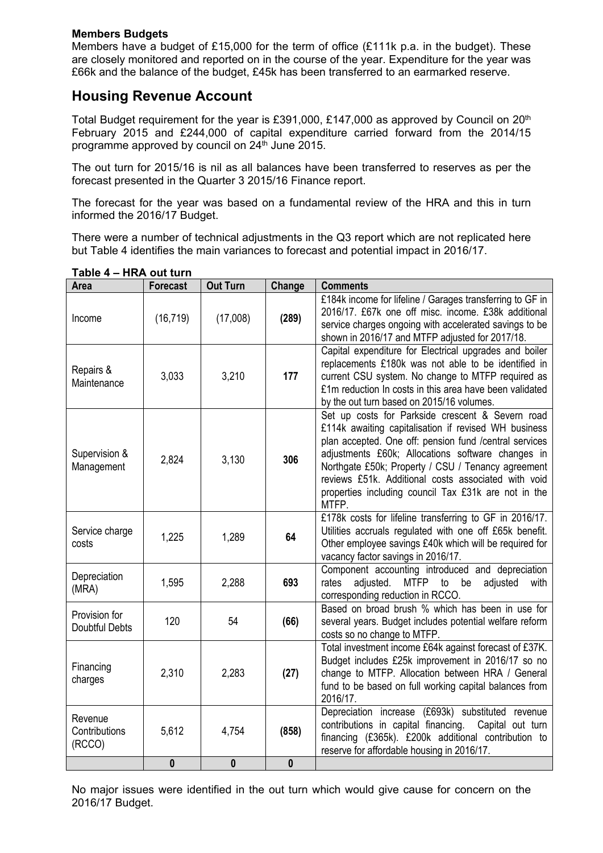#### **Members Budgets**

Members have a budget of £15,000 for the term of office (£111k p.a. in the budget). These are closely monitored and reported on in the course of the year. Expenditure for the year was £66k and the balance of the budget, £45k has been transferred to an earmarked reserve.

# **Housing Revenue Account**

Total Budget requirement for the year is £391,000, £147,000 as approved by Council on 20<sup>th</sup> February 2015 and £244,000 of capital expenditure carried forward from the 2014/15 programme approved by council on 24<sup>th</sup> June 2015.

The out turn for 2015/16 is nil as all balances have been transferred to reserves as per the forecast presented in the Quarter 3 2015/16 Finance report.

The forecast for the year was based on a fundamental review of the HRA and this in turn informed the 2016/17 Budget.

There were a number of technical adjustments in the Q3 report which are not replicated here but Table 4 identifies the main variances to forecast and potential impact in 2016/17.

| <b>Area</b>                            | <b>Forecast</b> | <b>Out Turn</b> | Change           | <b>Comments</b>                                                                                                                                                                                                                                                                                                                                                                                       |
|----------------------------------------|-----------------|-----------------|------------------|-------------------------------------------------------------------------------------------------------------------------------------------------------------------------------------------------------------------------------------------------------------------------------------------------------------------------------------------------------------------------------------------------------|
| Income                                 | (16, 719)       | (17,008)        | (289)            | £184k income for lifeline / Garages transferring to GF in<br>2016/17. £67k one off misc. income. £38k additional<br>service charges ongoing with accelerated savings to be<br>shown in 2016/17 and MTFP adjusted for 2017/18.                                                                                                                                                                         |
| Repairs &<br>Maintenance               | 3,033           | 3,210           | 177              | Capital expenditure for Electrical upgrades and boiler<br>replacements £180k was not able to be identified in<br>current CSU system. No change to MTFP required as<br>£1m reduction In costs in this area have been validated<br>by the out turn based on 2015/16 volumes.                                                                                                                            |
| Supervision &<br>Management            | 2,824           | 3,130           | 306              | Set up costs for Parkside crescent & Severn road<br>£114k awaiting capitalisation if revised WH business<br>plan accepted. One off: pension fund /central services<br>adjustments £60k; Allocations software changes in<br>Northgate £50k; Property / CSU / Tenancy agreement<br>reviews £51k. Additional costs associated with void<br>properties including council Tax £31k are not in the<br>MTFP. |
| Service charge<br>costs                | 1,225           | 1,289           | 64               | £178k costs for lifeline transferring to GF in 2016/17.<br>Utilities accruals regulated with one off £65k benefit.<br>Other employee savings £40k which will be required for<br>vacancy factor savings in 2016/17.                                                                                                                                                                                    |
| Depreciation<br>(MRA)                  | 1,595           | 2,288           | 693              | Component accounting introduced and depreciation<br>rates<br>adjusted.<br><b>MTFP</b><br>be<br>adjusted<br>to<br>with<br>corresponding reduction in RCCO.                                                                                                                                                                                                                                             |
| Provision for<br><b>Doubtful Debts</b> | 120             | 54              | (66)             | Based on broad brush % which has been in use for<br>several years. Budget includes potential welfare reform<br>costs so no change to MTFP.                                                                                                                                                                                                                                                            |
| Financing<br>charges                   | 2,310           | 2,283           | (27)             | Total investment income £64k against forecast of £37K.<br>Budget includes £25k improvement in 2016/17 so no<br>change to MTFP. Allocation between HRA / General<br>fund to be based on full working capital balances from<br>2016/17.                                                                                                                                                                 |
| Revenue<br>Contributions<br>(RCCO)     | 5,612           | 4,754           | (858)            | Depreciation increase (£693k) substituted revenue<br>contributions in capital financing. Capital out turn<br>financing (£365k). £200k additional contribution to<br>reserve for affordable housing in 2016/17.                                                                                                                                                                                        |
|                                        | $\bf{0}$        | 0               | $\boldsymbol{0}$ |                                                                                                                                                                                                                                                                                                                                                                                                       |

**Table 4 – HRA out turn**

No major issues were identified in the out turn which would give cause for concern on the 2016/17 Budget.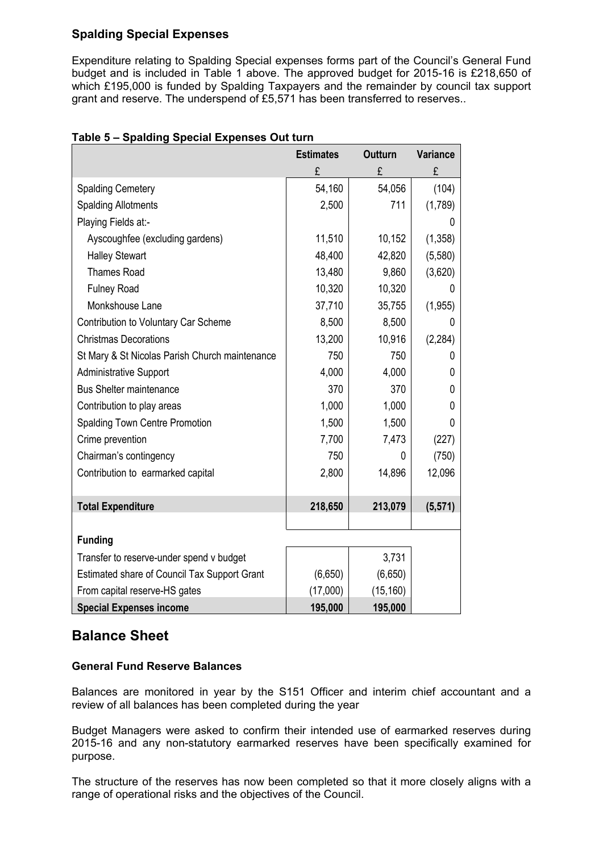## **Spalding Special Expenses**

Expenditure relating to Spalding Special expenses forms part of the Council's General Fund budget and is included in Table 1 above. The approved budget for 2015-16 is £218,650 of which £195,000 is funded by Spalding Taxpayers and the remainder by council tax support grant and reserve. The underspend of £5,571 has been transferred to reserves..

|                                                | <b>Estimates</b> | <b>Outturn</b> | Variance |
|------------------------------------------------|------------------|----------------|----------|
|                                                | £                | £              | £        |
| <b>Spalding Cemetery</b>                       | 54,160           | 54,056         | (104)    |
| <b>Spalding Allotments</b>                     | 2,500            | 711            | (1,789)  |
| Playing Fields at:-                            |                  |                | 0        |
| Ayscoughfee (excluding gardens)                | 11,510           | 10,152         | (1, 358) |
| <b>Halley Stewart</b>                          | 48,400           | 42,820         | (5,580)  |
| <b>Thames Road</b>                             | 13,480           | 9,860          | (3,620)  |
| <b>Fulney Road</b>                             | 10,320           | 10,320         | U        |
| Monkshouse Lane                                | 37,710           | 35,755         | (1, 955) |
| Contribution to Voluntary Car Scheme           | 8,500            | 8,500          | 0        |
| <b>Christmas Decorations</b>                   | 13,200           | 10,916         | (2, 284) |
| St Mary & St Nicolas Parish Church maintenance | 750              | 750            | 0        |
| <b>Administrative Support</b>                  | 4,000            | 4,000          | 0        |
| <b>Bus Shelter maintenance</b>                 | 370              | 370            | 0        |
| Contribution to play areas                     | 1,000            | 1,000          | 0        |
| <b>Spalding Town Centre Promotion</b>          | 1,500            | 1,500          | 0        |
| Crime prevention                               | 7,700            | 7,473          | (227)    |
| Chairman's contingency                         | 750              | 0              | (750)    |
| Contribution to earmarked capital              | 2,800            | 14,896         | 12,096   |
|                                                |                  |                |          |
| <b>Total Expenditure</b>                       | 218,650          | 213,079        | (5, 571) |
|                                                |                  |                |          |
| <b>Funding</b>                                 |                  |                |          |
| Transfer to reserve-under spend v budget       |                  | 3,731          |          |
| Estimated share of Council Tax Support Grant   | (6,650)          | (6,650)        |          |
| From capital reserve-HS gates                  | (17,000)         | (15, 160)      |          |
| <b>Special Expenses income</b>                 | 195,000          | 195,000        |          |

## **Table 5 – Spalding Special Expenses Out turn**

# **Balance Sheet**

## **General Fund Reserve Balances**

Balances are monitored in year by the S151 Officer and interim chief accountant and a review of all balances has been completed during the year

Budget Managers were asked to confirm their intended use of earmarked reserves during 2015-16 and any non-statutory earmarked reserves have been specifically examined for purpose.

The structure of the reserves has now been completed so that it more closely aligns with a range of operational risks and the objectives of the Council.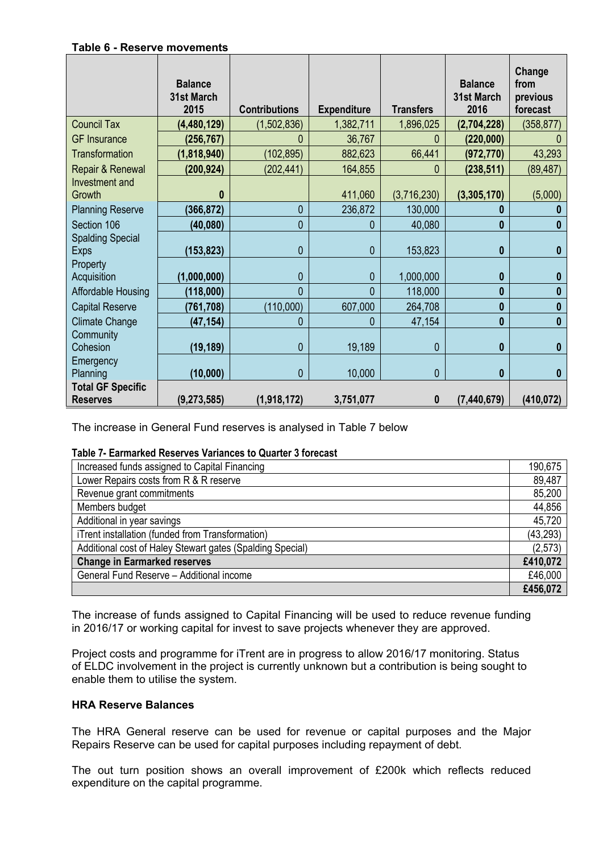#### **Table 6 - Reserve movements**

|                                             | <b>Balance</b><br>31st March<br>2015 | <b>Contributions</b> | <b>Expenditure</b> | <b>Transfers</b> | <b>Balance</b><br>31st March<br>2016 | Change<br>from<br>previous<br>forecast |
|---------------------------------------------|--------------------------------------|----------------------|--------------------|------------------|--------------------------------------|----------------------------------------|
| <b>Council Tax</b>                          | (4,480,129)                          | (1,502,836)          | 1,382,711          | 1,896,025        | (2,704,228)                          | (358, 877)                             |
| <b>GF</b> Insurance                         | (256, 767)                           | 0                    | 36,767             | 0                | (220,000)                            |                                        |
| Transformation                              | (1,818,940)                          | (102, 895)           | 882,623            | 66,441           | (972, 770)                           | 43,293                                 |
| Repair & Renewal                            | (200, 924)                           | (202, 441)           | 164,855            | 0                | (238, 511)                           | (89, 487)                              |
| Investment and<br>Growth                    | 0                                    |                      | 411,060            | (3,716,230)      | (3,305,170)                          | (5,000)                                |
| <b>Planning Reserve</b>                     | (366, 872)                           | 0                    | 236,872            | 130,000          | 0                                    | $\bf{0}$                               |
| Section 106                                 | (40,080)                             | 0                    | 0                  | 40,080           | 0                                    | 0                                      |
| <b>Spalding Special</b><br><b>Exps</b>      | (153, 823)                           | 0                    | 0                  | 153,823          | $\bf{0}$                             | $\bf{0}$                               |
| Property<br>Acquisition                     | (1,000,000)                          | 0                    | 0                  | 1,000,000        | 0                                    | 0                                      |
| Affordable Housing                          | (118,000)                            | $\overline{0}$       | $\Omega$           | 118,000          | $\bf{0}$                             | 0                                      |
| <b>Capital Reserve</b>                      | (761, 708)                           | (110,000)            | 607,000            | 264,708          | $\bf{0}$                             | $\bf{0}$                               |
| Climate Change                              | (47, 154)                            | 0                    | 0                  | 47,154           | $\bf{0}$                             | $\mathbf{0}$                           |
| Community<br>Cohesion                       | (19, 189)                            | 0                    | 19,189             | 0                | 0                                    | $\bf{0}$                               |
| Emergency<br>Planning                       | (10,000)                             | 0                    | 10,000             | 0                | 0                                    | 0                                      |
| <b>Total GF Specific</b><br><b>Reserves</b> | (9, 273, 585)                        | (1,918,172)          | 3,751,077          | 0                | (7, 440, 679)                        | (410, 072)                             |

The increase in General Fund reserves is analysed in Table 7 below

#### **Table 7- Earmarked Reserves Variances to Quarter 3 forecast**

| Increased funds assigned to Capital Financing             | 190,675   |
|-----------------------------------------------------------|-----------|
| Lower Repairs costs from R & R reserve                    | 89,487    |
| Revenue grant commitments                                 | 85,200    |
| Members budget                                            | 44,856    |
| Additional in year savings                                | 45,720    |
| iTrent installation (funded from Transformation)          | (43, 293) |
| Additional cost of Haley Stewart gates (Spalding Special) | (2,573)   |
| <b>Change in Earmarked reserves</b>                       | £410,072  |
| General Fund Reserve - Additional income                  | £46,000   |
|                                                           | £456,072  |

The increase of funds assigned to Capital Financing will be used to reduce revenue funding in 2016/17 or working capital for invest to save projects whenever they are approved.

Project costs and programme for iTrent are in progress to allow 2016/17 monitoring. Status of ELDC involvement in the project is currently unknown but a contribution is being sought to enable them to utilise the system.

#### **HRA Reserve Balances**

The HRA General reserve can be used for revenue or capital purposes and the Major Repairs Reserve can be used for capital purposes including repayment of debt.

The out turn position shows an overall improvement of £200k which reflects reduced expenditure on the capital programme.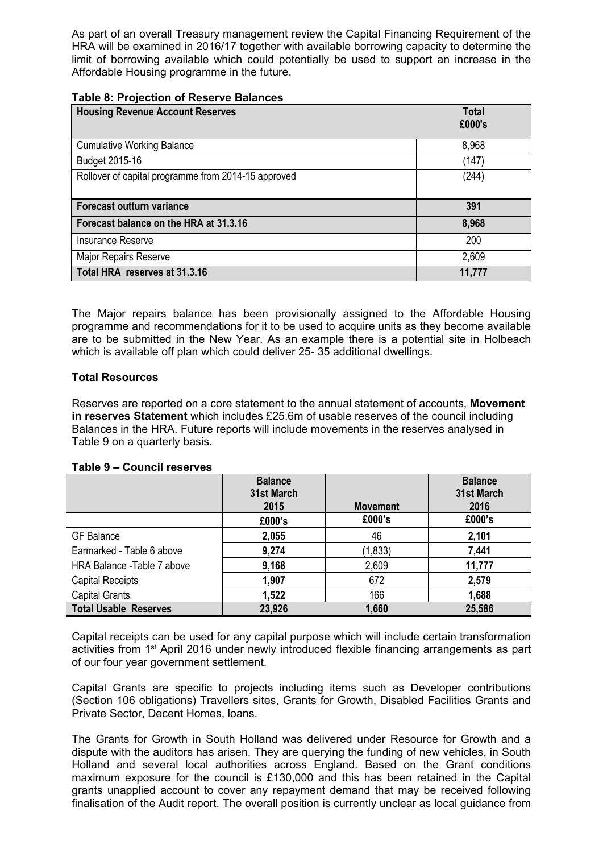As part of an overall Treasury management review the Capital Financing Requirement of the HRA will be examined in 2016/17 together with available borrowing capacity to determine the limit of borrowing available which could potentially be used to support an increase in the Affordable Housing programme in the future.

#### **Table 8: Projection of Reserve Balances**

| <b>Housing Revenue Account Reserves</b>             | <b>Total</b><br>£000's |
|-----------------------------------------------------|------------------------|
|                                                     |                        |
| <b>Cumulative Working Balance</b>                   | 8,968                  |
| Budget 2015-16                                      | (147)                  |
| Rollover of capital programme from 2014-15 approved | (244)                  |
|                                                     |                        |
| Forecast outturn variance                           | 391                    |
| Forecast balance on the HRA at 31.3.16              | 8,968                  |
| <b>Insurance Reserve</b>                            | 200                    |
| Major Repairs Reserve                               | 2,609                  |
| Total HRA reserves at 31.3.16                       | 11,777                 |

The Major repairs balance has been provisionally assigned to the Affordable Housing programme and recommendations for it to be used to acquire units as they become available are to be submitted in the New Year. As an example there is a potential site in Holbeach which is available off plan which could deliver 25-35 additional dwellings.

#### **Total Resources**

Reserves are reported on a core statement to the annual statement of accounts, **Movement in reserves Statement** which includes £25.6m of usable reserves of the council including Balances in the HRA. Future reports will include movements in the reserves analysed in Table 9 on a quarterly basis.

|                              | <b>Balance</b><br>31st March<br>2015 | <b>Movement</b> | <b>Balance</b><br>31st March<br>2016 |
|------------------------------|--------------------------------------|-----------------|--------------------------------------|
|                              | £000's                               | £000's          | £000's                               |
| <b>GF</b> Balance            | 2,055                                | 46              | 2,101                                |
| Earmarked - Table 6 above    | 9,274                                | (1, 833)        | 7,441                                |
| HRA Balance -Table 7 above   | 9,168                                | 2,609           | 11,777                               |
| <b>Capital Receipts</b>      | 1,907                                | 672             | 2,579                                |
| <b>Capital Grants</b>        | 1,522                                | 166             | 1,688                                |
| <b>Total Usable Reserves</b> | 23,926                               | 1,660           | 25,586                               |

#### **Table 9 – Council reserves**

Capital receipts can be used for any capital purpose which will include certain transformation activities from 1<sup>st</sup> April 2016 under newly introduced flexible financing arrangements as part of our four year government settlement.

Capital Grants are specific to projects including items such as Developer contributions (Section 106 obligations) Travellers sites, Grants for Growth, Disabled Facilities Grants and Private Sector, Decent Homes, loans.

The Grants for Growth in South Holland was delivered under Resource for Growth and a dispute with the auditors has arisen. They are querying the funding of new vehicles, in South Holland and several local authorities across England. Based on the Grant conditions maximum exposure for the council is £130,000 and this has been retained in the Capital grants unapplied account to cover any repayment demand that may be received following finalisation of the Audit report. The overall position is currently unclear as local guidance from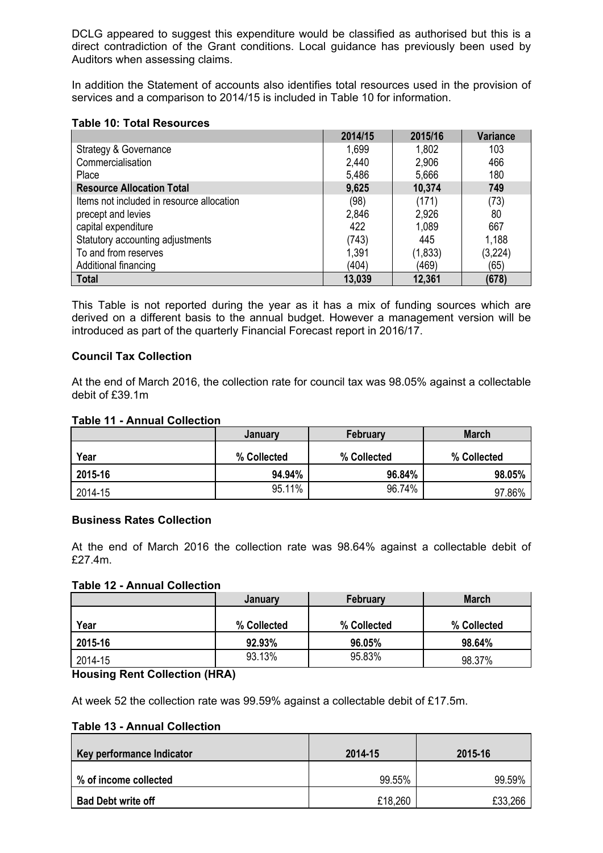DCLG appeared to suggest this expenditure would be classified as authorised but this is a direct contradiction of the Grant conditions. Local guidance has previously been used by Auditors when assessing claims.

In addition the Statement of accounts also identifies total resources used in the provision of services and a comparison to 2014/15 is included in Table 10 for information.

#### **Table 10: Total Resources**

|                                           | 2014/15 | 2015/16  | <b>Variance</b> |
|-------------------------------------------|---------|----------|-----------------|
| <b>Strategy &amp; Governance</b>          | 1,699   | 1,802    | 103             |
| Commercialisation                         | 2,440   | 2,906    | 466             |
| Place                                     | 5,486   | 5,666    | 180             |
| <b>Resource Allocation Total</b>          | 9,625   | 10,374   | 749             |
| Items not included in resource allocation | (98)    | (171)    | (73)            |
| precept and levies                        | 2,846   | 2,926    | 80              |
| capital expenditure                       | 422     | 1,089    | 667             |
| Statutory accounting adjustments          | (743)   | 445      | 1,188           |
| To and from reserves                      | 1,391   | (1, 833) | (3,224)         |
| Additional financing                      | (404)   | (469)    | (65)            |
| <b>Total</b>                              | 13,039  | 12,361   | (678)           |

This Table is not reported during the year as it has a mix of funding sources which are derived on a different basis to the annual budget. However a management version will be introduced as part of the quarterly Financial Forecast report in 2016/17.

#### **Council Tax Collection**

At the end of March 2016, the collection rate for council tax was 98.05% against a collectable debit of £39.1m

#### **Table 11 - Annual Collection**

|         | January     | February    | <b>March</b> |  |
|---------|-------------|-------------|--------------|--|
| Year    | % Collected | % Collected | % Collected  |  |
| 2015-16 | 94.94%      | 96.84%      | 98.05%       |  |
| 2014-15 | 95.11%      | 96.74%      | 97.86%       |  |

#### **Business Rates Collection**

At the end of March 2016 the collection rate was 98.64% against a collectable debit of £27.4m.

#### **Table 12 - Annual Collection**

|         | January     | <b>March</b> |             |  |
|---------|-------------|--------------|-------------|--|
| Year    | % Collected | % Collected  | % Collected |  |
| 2015-16 | 92.93%      | 96.05%       | 98.64%      |  |
| 2014-15 | 93.13%      | 95.83%       | 98.37%      |  |

#### **Housing Rent Collection (HRA)**

At week 52 the collection rate was 99.59% against a collectable debit of £17.5m.

#### **Table 13 - Annual Collection**

| Key performance Indicator | 2014-15 | 2015-16 |  |
|---------------------------|---------|---------|--|
| % of income collected     | 99.55%  | 99.59%  |  |
| <b>Bad Debt write off</b> | £18,260 | £33,266 |  |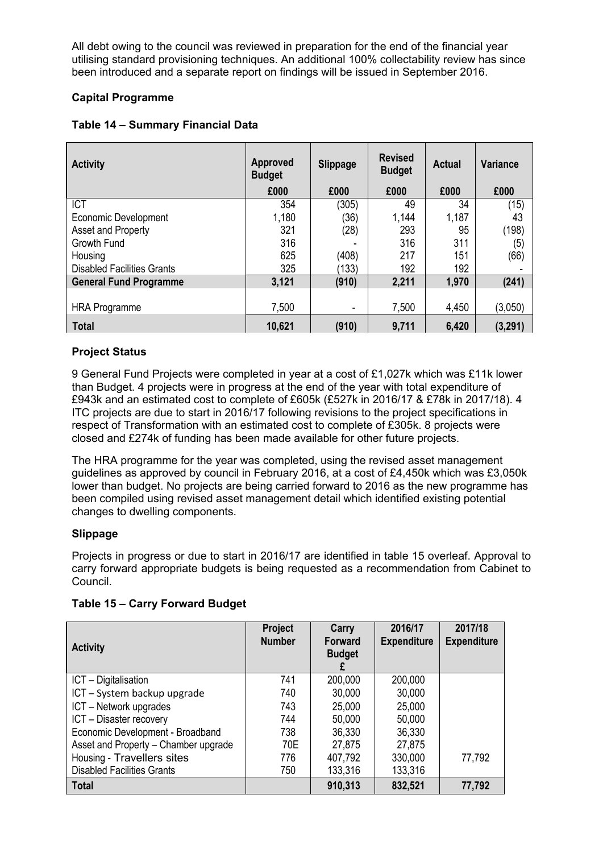All debt owing to the council was reviewed in preparation for the end of the financial year utilising standard provisioning techniques. An additional 100% collectability review has since been introduced and a separate report on findings will be issued in September 2016.

## **Capital Programme**

| <b>Activity</b>                   | <b>Approved</b><br><b>Budget</b> | <b>Slippage</b> | <b>Revised</b><br><b>Actual</b><br><b>Budget</b> |       | <b>Variance</b> |  |
|-----------------------------------|----------------------------------|-----------------|--------------------------------------------------|-------|-----------------|--|
|                                   | £000                             | £000            | £000                                             | £000  | £000            |  |
| <b>ICT</b>                        | 354                              | (305)           | 49                                               | 34    | (15)            |  |
| <b>Economic Development</b>       | 1,180                            | (36)            | 1,144                                            | 1,187 | 43              |  |
| Asset and Property                | 321                              | (28)            | 293                                              | 95    | (198)           |  |
| Growth Fund                       | 316                              |                 | 316                                              | 311   | (5)             |  |
| Housing                           | 625                              | (408)           | 217                                              | 151   | (66)            |  |
| <b>Disabled Facilities Grants</b> | 325                              | (133)           | 192                                              | 192   |                 |  |
| <b>General Fund Programme</b>     | 3,121                            | (910)           | 2,211                                            | 1,970 | (241)           |  |
|                                   |                                  |                 |                                                  |       |                 |  |
| <b>HRA Programme</b>              | 7,500                            |                 | 7,500                                            | 4,450 | (3,050)         |  |
| <b>Total</b>                      | 10,621                           | (910)           | 9,711                                            | 6,420 | (3,291)         |  |

## **Project Status**

9 General Fund Projects were completed in year at a cost of £1,027k which was £11k lower than Budget. 4 projects were in progress at the end of the year with total expenditure of £943k and an estimated cost to complete of £605k (£527k in 2016/17 & £78k in 2017/18). 4 ITC projects are due to start in 2016/17 following revisions to the project specifications in respect of Transformation with an estimated cost to complete of £305k. 8 projects were closed and £274k of funding has been made available for other future projects.

The HRA programme for the year was completed, using the revised asset management guidelines as approved by council in February 2016, at a cost of £4,450k which was £3,050k lower than budget. No projects are being carried forward to 2016 as the new programme has been compiled using revised asset management detail which identified existing potential changes to dwelling components.

## **Slippage**

Projects in progress or due to start in 2016/17 are identified in table 15 overleaf. Approval to carry forward appropriate budgets is being requested as a recommendation from Cabinet to Council.

| <b>Activity</b>                      | Project<br><b>Number</b> | Carry<br><b>Forward</b><br><b>Budget</b> | 2016/17<br><b>Expenditure</b> | 2017/18<br><b>Expenditure</b> |
|--------------------------------------|--------------------------|------------------------------------------|-------------------------------|-------------------------------|
| ICT - Digitalisation                 | 741                      | 200,000                                  | 200,000                       |                               |
| ICT - System backup upgrade          | 740                      | 30,000                                   | 30,000                        |                               |
| ICT - Network upgrades               | 743                      | 25,000                                   | 25,000                        |                               |
| ICT - Disaster recovery              | 744                      | 50,000                                   | 50,000                        |                               |
| Economic Development - Broadband     | 738                      | 36,330                                   | 36,330                        |                               |
| Asset and Property - Chamber upgrade | 70E                      | 27,875                                   | 27,875                        |                               |
| Housing - Travellers sites           | 776                      | 407,792                                  | 330,000                       | 77,792                        |
| <b>Disabled Facilities Grants</b>    | 750                      | 133,316                                  | 133,316                       |                               |
| <b>Total</b>                         |                          | 910,313                                  | 832,521                       | 77,792                        |

## **Table 15 – Carry Forward Budget**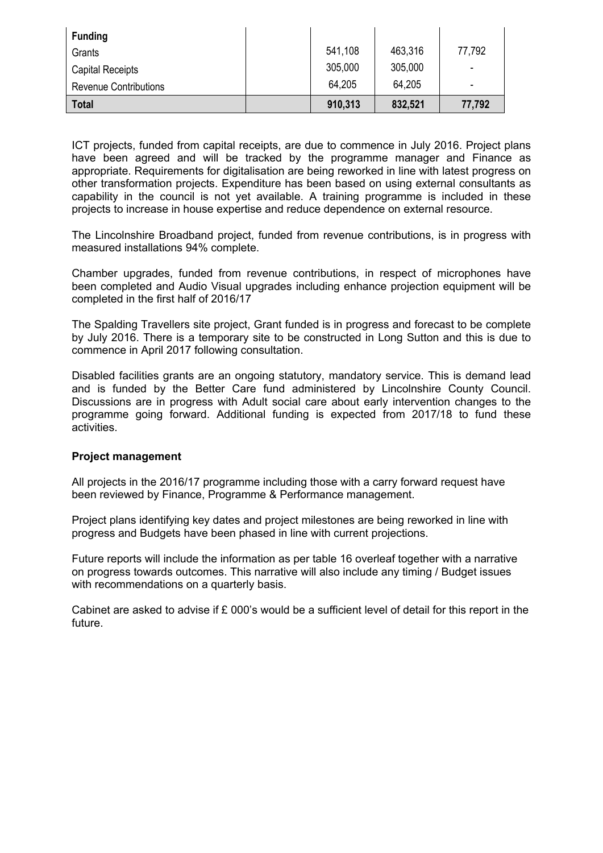| <b>Funding</b>               |         |         |                          |
|------------------------------|---------|---------|--------------------------|
| Grants                       | 541,108 | 463,316 | 77,792                   |
| <b>Capital Receipts</b>      | 305,000 | 305,000 | $\overline{\phantom{a}}$ |
| <b>Revenue Contributions</b> | 64,205  | 64,205  | -                        |
| <b>Total</b>                 | 910,313 | 832,521 | 77,792                   |

ICT projects, funded from capital receipts, are due to commence in July 2016. Project plans have been agreed and will be tracked by the programme manager and Finance as appropriate. Requirements for digitalisation are being reworked in line with latest progress on other transformation projects. Expenditure has been based on using external consultants as capability in the council is not yet available. A training programme is included in these projects to increase in house expertise and reduce dependence on external resource.

The Lincolnshire Broadband project, funded from revenue contributions, is in progress with measured installations 94% complete.

Chamber upgrades, funded from revenue contributions, in respect of microphones have been completed and Audio Visual upgrades including enhance projection equipment will be completed in the first half of 2016/17

The Spalding Travellers site project, Grant funded is in progress and forecast to be complete by July 2016. There is a temporary site to be constructed in Long Sutton and this is due to commence in April 2017 following consultation.

Disabled facilities grants are an ongoing statutory, mandatory service. This is demand lead and is funded by the Better Care fund administered by Lincolnshire County Council. Discussions are in progress with Adult social care about early intervention changes to the programme going forward. Additional funding is expected from 2017/18 to fund these activities.

#### **Project management**

All projects in the 2016/17 programme including those with a carry forward request have been reviewed by Finance, Programme & Performance management.

Project plans identifying key dates and project milestones are being reworked in line with progress and Budgets have been phased in line with current projections.

Future reports will include the information as per table 16 overleaf together with a narrative on progress towards outcomes. This narrative will also include any timing / Budget issues with recommendations on a quarterly basis.

Cabinet are asked to advise if £ 000's would be a sufficient level of detail for this report in the future.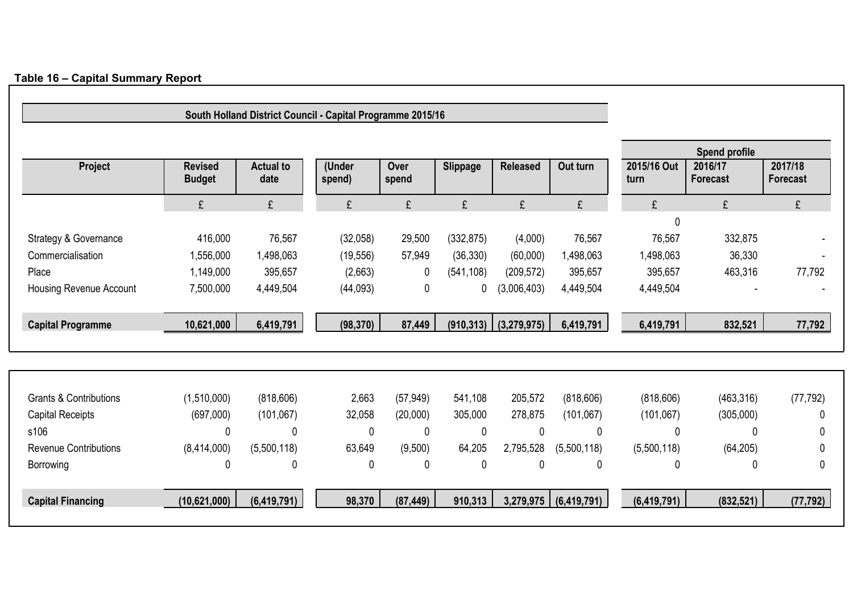|                                   |                                 |                          | South Holland District Council - Capital Programme 2015/16 |               |                 |                 |               |                     |                            |                            |
|-----------------------------------|---------------------------------|--------------------------|------------------------------------------------------------|---------------|-----------------|-----------------|---------------|---------------------|----------------------------|----------------------------|
|                                   |                                 |                          |                                                            |               |                 |                 |               |                     | <b>Spend profile</b>       |                            |
| Project                           | <b>Revised</b><br><b>Budget</b> | <b>Actual to</b><br>date | (Under<br>spend)                                           | Over<br>spend | <b>Slippage</b> | <b>Released</b> | Out turn      | 2015/16 Out<br>turn | 2016/17<br><b>Forecast</b> | 2017/18<br><b>Forecast</b> |
|                                   | £                               | £                        | £                                                          | £             | £               | £               | £             | £                   | £                          | £                          |
|                                   |                                 |                          |                                                            |               |                 |                 |               | $\mathbf{0}$        |                            |                            |
| Strategy & Governance             | 416,000                         | 76,567                   | (32,058)                                                   | 29,500        | (332, 875)      | (4,000)         | 76,567        | 76,567              | 332,875                    |                            |
| Commercialisation                 | 1,556,000                       | 1,498,063                | (19, 556)                                                  | 57,949        | (36, 330)       | (60,000)        | 1,498,063     | 1,498,063           | 36,330                     |                            |
| Place                             | 1,149,000                       | 395,657                  | (2,663)                                                    | $\mathbf 0$   | (541, 108)      | (209, 572)      | 395,657       | 395,657             | 463,316                    | 77,792                     |
| Housing Revenue Account           | 7,500,000                       | 4,449,504                | (44,093)                                                   | $\mathbf 0$   | 0               | (3,006,403)     | 4,449,504     | 4,449,504           |                            |                            |
| <b>Capital Programme</b>          | 10,621,000                      | 6,419,791                | (98, 370)                                                  | 87,449        | (910, 313)      | (3,279,975)     | 6,419,791     | 6,419,791           | 832,521                    | 77,792                     |
|                                   |                                 |                          |                                                            |               |                 |                 |               |                     |                            |                            |
| <b>Grants &amp; Contributions</b> | (1,510,000)                     | (818, 606)               | 2,663                                                      | (57, 949)     | 541,108         | 205,572         | (818, 606)    | (818, 606)          | (463, 316)                 | (77, 792)                  |
| <b>Capital Receipts</b>           | (697,000)                       | (101, 067)               | 32,058                                                     | (20,000)      | 305,000         | 278,875         | (101,067)     | (101, 067)          | (305,000)                  | 0                          |
| s106                              | 0                               | 0                        | 0                                                          | $\Omega$      | 0               | $\mathbf{0}$    | $\Omega$      | 0                   | 0                          | 0                          |
| <b>Revenue Contributions</b>      | (8,414,000)                     | (5,500,118)              | 63,649                                                     | (9,500)       | 64,205          | 2,795,528       | (5,500,118)   | (5,500,118)         | (64, 205)                  | $\Omega$                   |
| Borrowing                         | 0                               | 0                        | 0                                                          | 0             | 0               | 0               | 0             | 0                   | 0                          | $\mathbf 0$                |
| <b>Capital Financing</b>          | (10, 621, 000)                  | (6, 419, 791)            | 98,370                                                     | (87, 449)     | 910,313         | 3,279,975       | (6, 419, 791) | (6, 419, 791)       | (832, 521)                 | (77, 792)                  |